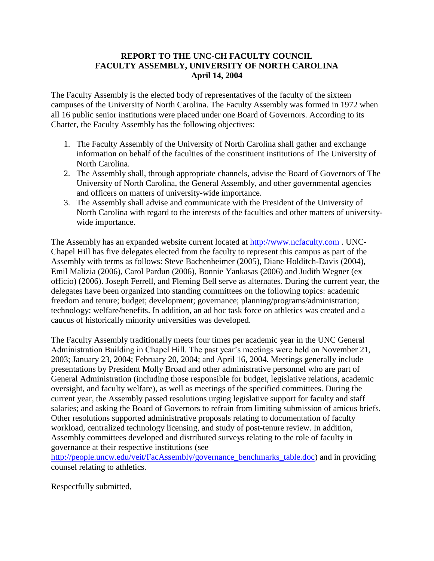## **REPORT TO THE UNC-CH FACULTY COUNCIL FACULTY ASSEMBLY, UNIVERSITY OF NORTH CAROLINA April 14, 2004**

The Faculty Assembly is the elected body of representatives of the faculty of the sixteen campuses of the University of North Carolina. The Faculty Assembly was formed in 1972 when all 16 public senior institutions were placed under one Board of Governors. According to its Charter, the Faculty Assembly has the following objectives:

- 1. The Faculty Assembly of the University of North Carolina shall gather and exchange information on behalf of the faculties of the constituent institutions of The University of North Carolina.
- 2. The Assembly shall, through appropriate channels, advise the Board of Governors of The University of North Carolina, the General Assembly, and other governmental agencies and officers on matters of university-wide importance.
- 3. The Assembly shall advise and communicate with the President of the University of North Carolina with regard to the interests of the faculties and other matters of universitywide importance.

The Assembly has an expanded website current located at [http://www.ncfaculty.com](http://www.ncfaculty.com/) . UNC-Chapel Hill has five delegates elected from the faculty to represent this campus as part of the Assembly with terms as follows: Steve Bachenheimer (2005), Diane Holditch-Davis (2004), Emil Malizia (2006), Carol Pardun (2006), Bonnie Yankasas (2006) and Judith Wegner (ex officio) (2006). Joseph Ferrell, and Fleming Bell serve as alternates. During the current year, the delegates have been organized into standing committees on the following topics: academic freedom and tenure; budget; development; governance; planning/programs/administration; technology; welfare/benefits. In addition, an ad hoc task force on athletics was created and a caucus of historically minority universities was developed.

The Faculty Assembly traditionally meets four times per academic year in the UNC General Administration Building in Chapel Hill. The past year's meetings were held on November 21, 2003; January 23, 2004; February 20, 2004; and April 16, 2004. Meetings generally include presentations by President Molly Broad and other administrative personnel who are part of General Administration (including those responsible for budget, legislative relations, academic oversight, and faculty welfare), as well as meetings of the specified committees. During the current year, the Assembly passed resolutions urging legislative support for faculty and staff salaries; and asking the Board of Governors to refrain from limiting submission of amicus briefs. Other resolutions supported administrative proposals relating to documentation of faculty workload, centralized technology licensing, and study of post-tenure review. In addition, Assembly committees developed and distributed surveys relating to the role of faculty in governance at their respective institutions (see

[http://people.uncw.edu/veit/FacAssembly/governance\\_benchmarks\\_table.doc\)](http://people.uncw.edu/veit/FacAssembly/governance_benchmarks_table.doc) and in providing counsel relating to athletics.

Respectfully submitted,